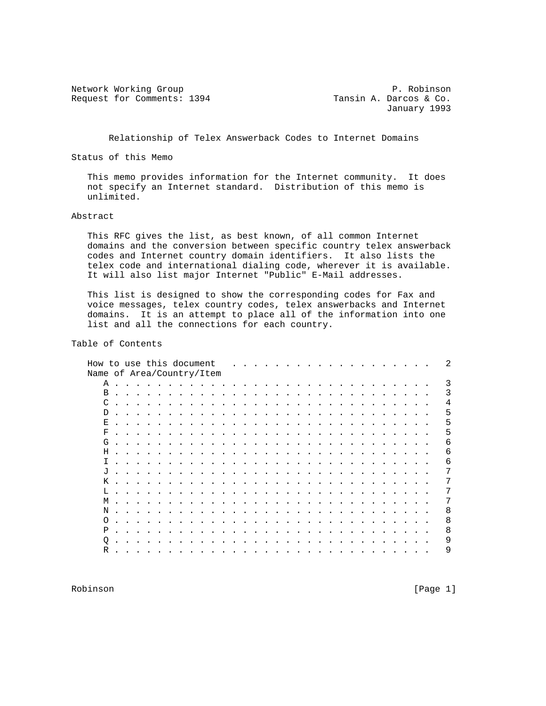Network Working Group 1994 P. Robinson<br>Request for Comments: 1394 Tansin A. Darcos & Co. Request for Comments: 1394

January 1993

Relationship of Telex Answerback Codes to Internet Domains

Status of this Memo

 This memo provides information for the Internet community. It does not specify an Internet standard. Distribution of this memo is unlimited.

### Abstract

 This RFC gives the list, as best known, of all common Internet domains and the conversion between specific country telex answerback codes and Internet country domain identifiers. It also lists the telex code and international dialing code, wherever it is available. It will also list major Internet "Public" E-Mail addresses.

 This list is designed to show the corresponding codes for Fax and voice messages, telex country codes, telex answerbacks and Internet domains. It is an attempt to place all of the information into one list and all the connections for each country.

# Table of Contents

| Name of Area/Country/Item<br>Α<br>$\sim$ $\sim$ $\sim$<br>$\overline{\phantom{a}}$<br>the contract of the contract of the contract of the contract of the contract of the contract of the contract of<br>$\ddot{\phantom{a}}$<br>$\overline{\phantom{a}}$<br>$\sim$ $\sim$<br>B<br>the contract of the contract of the contract of the contract of the contract of the contract of the contract of<br>$\mathbf{r}$ , and a set of the set of the set of the set of the set of the set of the set of the set of the set of the set of the set of the set of the set of the set of the set of the set of the set of the set of the set of<br>$\sim$<br>$\sim$<br>$\ddot{\phantom{0}}$<br>C<br>$\mathcal{A}=\mathcal{A}=\mathcal{A}=\mathcal{A}=\mathcal{A}=\mathcal{A}=\mathcal{A}$<br>.<br>$\ddot{\phantom{1}}$<br>$\cdot$<br>D<br>and the contract of the contract of the contract of the contract of the contract of the contract of the contract of the contract of the contract of the contract of the contract of the contract of the contract of the contra<br>.<br>$\sim$<br>$\sim$ $\sim$<br>$\sim$<br>$\sim$<br>Е<br>the contract of the contract of the contract of the contract of the contract of the contract of the contract of<br>.<br>$\sim$<br>$\ddot{\phantom{1}}$<br>$\sim$<br>F<br>design and contract the contract of the second service of the service of the service of the service of the service of the service of the service of the service of the service of the service of the service of the service of<br>. |   |
|-------------------------------------------------------------------------------------------------------------------------------------------------------------------------------------------------------------------------------------------------------------------------------------------------------------------------------------------------------------------------------------------------------------------------------------------------------------------------------------------------------------------------------------------------------------------------------------------------------------------------------------------------------------------------------------------------------------------------------------------------------------------------------------------------------------------------------------------------------------------------------------------------------------------------------------------------------------------------------------------------------------------------------------------------------------------------------------------------------------------------------------------------------------------------------------------------------------------------------------------------------------------------------------------------------------------------------------------------------------------------------------------------------------------------------------------------------------------------------------------------------------------------------------------|---|
|                                                                                                                                                                                                                                                                                                                                                                                                                                                                                                                                                                                                                                                                                                                                                                                                                                                                                                                                                                                                                                                                                                                                                                                                                                                                                                                                                                                                                                                                                                                                           |   |
|                                                                                                                                                                                                                                                                                                                                                                                                                                                                                                                                                                                                                                                                                                                                                                                                                                                                                                                                                                                                                                                                                                                                                                                                                                                                                                                                                                                                                                                                                                                                           | 3 |
|                                                                                                                                                                                                                                                                                                                                                                                                                                                                                                                                                                                                                                                                                                                                                                                                                                                                                                                                                                                                                                                                                                                                                                                                                                                                                                                                                                                                                                                                                                                                           | 3 |
|                                                                                                                                                                                                                                                                                                                                                                                                                                                                                                                                                                                                                                                                                                                                                                                                                                                                                                                                                                                                                                                                                                                                                                                                                                                                                                                                                                                                                                                                                                                                           | 4 |
|                                                                                                                                                                                                                                                                                                                                                                                                                                                                                                                                                                                                                                                                                                                                                                                                                                                                                                                                                                                                                                                                                                                                                                                                                                                                                                                                                                                                                                                                                                                                           | 5 |
|                                                                                                                                                                                                                                                                                                                                                                                                                                                                                                                                                                                                                                                                                                                                                                                                                                                                                                                                                                                                                                                                                                                                                                                                                                                                                                                                                                                                                                                                                                                                           | 5 |
|                                                                                                                                                                                                                                                                                                                                                                                                                                                                                                                                                                                                                                                                                                                                                                                                                                                                                                                                                                                                                                                                                                                                                                                                                                                                                                                                                                                                                                                                                                                                           | 5 |
| G<br>$\mathbf{r}$ , and a set of the set of the set of the set of the set of the set of the set of the set of the set of the set of the set of the set of the set of the set of the set of the set of the set of the set of the set of                                                                                                                                                                                                                                                                                                                                                                                                                                                                                                                                                                                                                                                                                                                                                                                                                                                                                                                                                                                                                                                                                                                                                                                                                                                                                                    | 6 |
| н.                                                                                                                                                                                                                                                                                                                                                                                                                                                                                                                                                                                                                                                                                                                                                                                                                                                                                                                                                                                                                                                                                                                                                                                                                                                                                                                                                                                                                                                                                                                                        | 6 |
| I.<br>$\mathcal{L}^{(1)}$ . The state of the state of the state of the state of the state of the state of the state of the state of the state of the state of the state of the state of the state of the state of the state of the state o                                                                                                                                                                                                                                                                                                                                                                                                                                                                                                                                                                                                                                                                                                                                                                                                                                                                                                                                                                                                                                                                                                                                                                                                                                                                                                | 6 |
| J<br>$\mathcal{L}_{\mathcal{A}}(\mathcal{A}) = \mathcal{L}_{\mathcal{A}}(\mathcal{A}) = \mathcal{L}_{\mathcal{A}}(\mathcal{A}) = \mathcal{L}_{\mathcal{A}}(\mathcal{A}) = \mathcal{L}_{\mathcal{A}}(\mathcal{A}) = \mathcal{L}_{\mathcal{A}}(\mathcal{A}) = \mathcal{L}_{\mathcal{A}}(\mathcal{A}) = \mathcal{L}_{\mathcal{A}}(\mathcal{A}) = \mathcal{L}_{\mathcal{A}}(\mathcal{A}) = \mathcal{L}_{\mathcal{A}}(\mathcal{A}) = \mathcal{L}_{\mathcal{A}}(\mathcal{A}) = \mathcal{L}_{\mathcal{A$                                                                                                                                                                                                                                                                                                                                                                                                                                                                                                                                                                                                                                                                                                                                                                                                                                                                                                                                                                                                                                         | 7 |
|                                                                                                                                                                                                                                                                                                                                                                                                                                                                                                                                                                                                                                                                                                                                                                                                                                                                                                                                                                                                                                                                                                                                                                                                                                                                                                                                                                                                                                                                                                                                           |   |
| $L \cdot \cdot$<br>$\sim$<br>the contract of the contract of the contract of the contract of the contract of the contract of the contract of<br>.<br>$\ddot{\phantom{1}}$                                                                                                                                                                                                                                                                                                                                                                                                                                                                                                                                                                                                                                                                                                                                                                                                                                                                                                                                                                                                                                                                                                                                                                                                                                                                                                                                                                 |   |
| М<br>the contract of the contract of the contract of the contract of the contract of the contract of the contract of<br>$\sim$<br>.<br>$\ddot{\phantom{1}}$                                                                                                                                                                                                                                                                                                                                                                                                                                                                                                                                                                                                                                                                                                                                                                                                                                                                                                                                                                                                                                                                                                                                                                                                                                                                                                                                                                               |   |
| N<br>the contract of the contract of the contract of the contract of the contract of the contract of the contract of<br>$\mathbf{r}$ . The contract of the contract of the contract of the contract of the contract of the contract of the contract of the contract of the contract of the contract of the contract of the contract of the contract of th<br>$\cdots$<br>$\sim$                                                                                                                                                                                                                                                                                                                                                                                                                                                                                                                                                                                                                                                                                                                                                                                                                                                                                                                                                                                                                                                                                                                                                           | 8 |
| O<br>$\mathbf{A} = \mathbf{A} + \mathbf{A} + \mathbf{A} + \mathbf{A} + \mathbf{A} + \mathbf{A} + \mathbf{A} + \mathbf{A} + \mathbf{A} + \mathbf{A} + \mathbf{A} + \mathbf{A} + \mathbf{A} + \mathbf{A} + \mathbf{A} + \mathbf{A} + \mathbf{A} + \mathbf{A} + \mathbf{A} + \mathbf{A} + \mathbf{A} + \mathbf{A} + \mathbf{A} + \mathbf{A} + \mathbf{A} + \mathbf{A} + \mathbf{A} + \mathbf{A} + \mathbf{A} + \mathbf{A} + \mathbf$<br>$\overline{\phantom{a}}$<br>$\cdot$<br>$\sim$ $\sim$ $\sim$<br>$\sim$ $\sim$<br>$\sim$<br>and the second control of the second second<br>$\sim$<br>$\ddot{\phantom{0}}$<br>$\sim$<br>$\ddot{\phantom{a}}$                                                                                                                                                                                                                                                                                                                                                                                                                                                                                                                                                                                                                                                                                                                                                                                                                                                                                            | 8 |
| Ρ                                                                                                                                                                                                                                                                                                                                                                                                                                                                                                                                                                                                                                                                                                                                                                                                                                                                                                                                                                                                                                                                                                                                                                                                                                                                                                                                                                                                                                                                                                                                         | 8 |
| Q<br>$\ddot{\phantom{0}}$<br>$\sim$<br>$\sim$<br>$\sim$ $\sim$<br>$\sim$<br>$\sim$<br>$\sim$<br>$\overline{\phantom{a}}$<br>$\overline{\phantom{a}}$<br>$\mathbf{r}$<br>$\sim$                                                                                                                                                                                                                                                                                                                                                                                                                                                                                                                                                                                                                                                                                                                                                                                                                                                                                                                                                                                                                                                                                                                                                                                                                                                                                                                                                            | 9 |
| R                                                                                                                                                                                                                                                                                                                                                                                                                                                                                                                                                                                                                                                                                                                                                                                                                                                                                                                                                                                                                                                                                                                                                                                                                                                                                                                                                                                                                                                                                                                                         | 9 |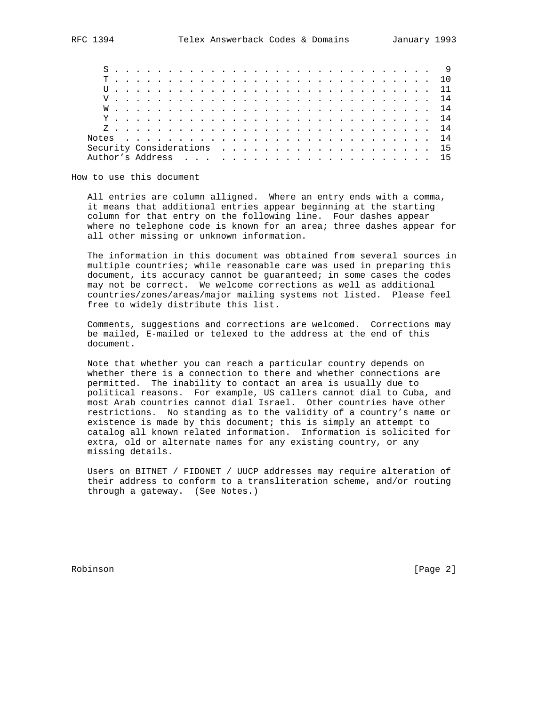| Notes $\ldots$ $\ldots$ $\ldots$ $\ldots$ $\ldots$ $\ldots$ $\ldots$ $\ldots$ $\ldots$ $\ldots$ $\ldots$ $\ldots$ |  |  |  |  |  |  |  |  |  |  |  |  |  |  |  |  |
|-------------------------------------------------------------------------------------------------------------------|--|--|--|--|--|--|--|--|--|--|--|--|--|--|--|--|
|                                                                                                                   |  |  |  |  |  |  |  |  |  |  |  |  |  |  |  |  |
|                                                                                                                   |  |  |  |  |  |  |  |  |  |  |  |  |  |  |  |  |

How to use this document

 All entries are column alligned. Where an entry ends with a comma, it means that additional entries appear beginning at the starting column for that entry on the following line. Four dashes appear where no telephone code is known for an area; three dashes appear for all other missing or unknown information.

 The information in this document was obtained from several sources in multiple countries; while reasonable care was used in preparing this document, its accuracy cannot be guaranteed; in some cases the codes may not be correct. We welcome corrections as well as additional countries/zones/areas/major mailing systems not listed. Please feel free to widely distribute this list.

 Comments, suggestions and corrections are welcomed. Corrections may be mailed, E-mailed or telexed to the address at the end of this document.

 Note that whether you can reach a particular country depends on whether there is a connection to there and whether connections are permitted. The inability to contact an area is usually due to political reasons. For example, US callers cannot dial to Cuba, and most Arab countries cannot dial Israel. Other countries have other restrictions. No standing as to the validity of a country's name or existence is made by this document; this is simply an attempt to catalog all known related information. Information is solicited for extra, old or alternate names for any existing country, or any missing details.

 Users on BITNET / FIDONET / UUCP addresses may require alteration of their address to conform to a transliteration scheme, and/or routing through a gateway. (See Notes.)

Robinson [Page 2]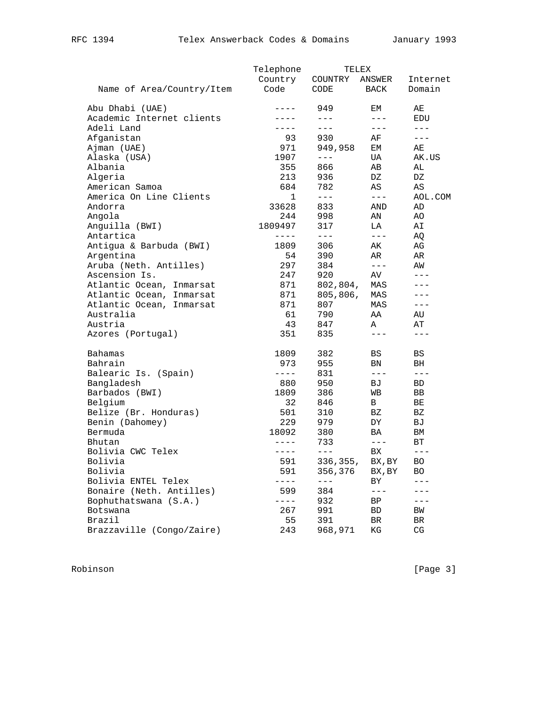|                           | Telephone   |           | TELEX     |               |
|---------------------------|-------------|-----------|-----------|---------------|
|                           | Country     | COUNTRY   | ANSWER    | Internet      |
| Name of Area/Country/Item | Code        | CODE      | BACK      | Domain        |
| Abu Dhabi (UAE)           | $---$       | 949       | EМ        | AЕ            |
| Academic Internet clients | $- - - -$   | $---$     | $---$     | EDU           |
| Adeli Land                | $- - - -$   | $---$     | $- - -$   | $---$         |
| Afganistan                | 93          | 930       | AF        | $- - -$       |
| Ajman (UAE)               | 971         | 949,958   | EМ        | AЕ            |
| Alaska (USA)              | 1907        | $---$     | UA        | AK.US         |
| Albania                   | 355         | 866       | AВ        | AL            |
| Algeria                   | 213         | 936       | DZ        | DZ            |
| American Samoa            | 684         | 782       | AS        | AS            |
| America On Line Clients   | 1           | $- - -$   | $---$     | AOL.COM       |
| Andorra                   | 33628       | 833       | AND       | AD            |
| Angola                    | 244         | 998       | AN        | AO            |
| Anguilla (BWI)            | 1809497     | 317       | LA        | AΙ            |
| Antartica                 | $- - - - -$ | $---$     | $---$     | AQ            |
| Antigua & Barbuda (BWI)   | 1809        | 306       | AK        | AG            |
| Argentina                 | 54          | 390       | AR        | AR            |
| Aruba (Neth. Antilles)    | 297         | 384       | $- - -$   | AW            |
| Ascension Is.             | 247         | 920       | AV        | $---$         |
| Atlantic Ocean, Inmarsat  | 871         | 802,804,  | MAS       |               |
| Atlantic Ocean, Inmarsat  | 871         | 805, 806, | MAS       | $---$         |
| Atlantic Ocean, Inmarsat  | 871         | 807       | MAS       | $---$         |
| Australia                 | 61          | 790       | AA        | AU            |
| Austria                   | 43          | 847       | Α         | AТ            |
| Azores (Portugal)         | 351         | 835       | $---$     | $---$         |
| <b>Bahamas</b>            | 1809        | 382       | BS        | BS            |
| Bahrain                   | 973         | 955       | BN        | BH.           |
| Balearic Is. (Spain)      | $- - - - -$ | 831       | $- - -$   | $---$         |
| Bangladesh                | 880         | 950       | BJ        | BD.           |
| Barbados (BWI)            | 1809        | 386       | WВ        | BB            |
| Belgium                   | 32          | 846       | B         | ВE            |
| Belize (Br. Honduras)     | 501         | 310       | ΒZ        | ΒZ            |
| Benin (Dahomey)           | 229         | 979       | DY.       | ВJ            |
| Bermuda                   | 18092       | 380       | BA        | ΒM            |
| Bhutan                    | $- - - - -$ | 733       | $---$     | ВT            |
| Bolivia CWC Telex         | $- - - -$   | $---$     | <b>BX</b> | $\frac{1}{2}$ |
| Bolivia                   | 591         | 336,355,  | BX, BY    | BO.           |
| Bolivia                   | 591         | 356,376   | BX, BY    | BO.           |
| Bolivia ENTEL Telex       |             | $---$     | ВY        |               |
| Bonaire (Neth. Antilles)  | 599         | 384       | $---$     |               |
| Bophuthatswana (S.A.)     | $- -$       | 932       | BP        | ---           |
| Botswana                  | 267         | 991       | BD        | BW            |
| Brazil                    | 55          | 391       | BR        | BR            |
| Brazzaville (Congo/Zaire) | 243         | 968,971   | ΚG        | CG            |
|                           |             |           |           |               |

Robinson [Page 3]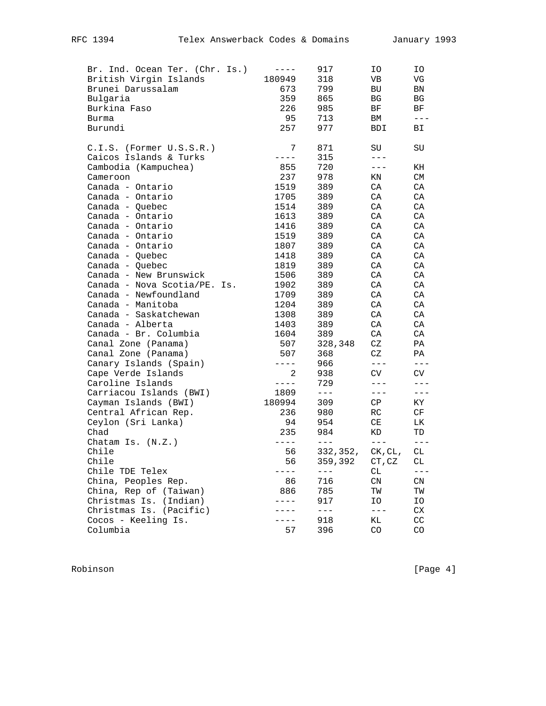| Br. Ind. Ocean Ter. (Chr. Is.) | $- - - -$      | 917           | IΟ          | ΙO      |
|--------------------------------|----------------|---------------|-------------|---------|
| British Virgin Islands         | 180949         | 318           | VB          | VG      |
| Brunei Darussalam              | 673            | 799           | <b>BU</b>   | BN      |
| Bulgaria                       | 359            | 865           | BG          | BG      |
| Burkina Faso                   | 226            | 985           | BF          | ВF      |
| Burma                          | 95             | 713           | ВM          | $---$   |
| Burundi                        | 257            | 977           | <b>BDI</b>  | ВI      |
| $C.I.S.$ (Former $U.S.S.R.$ )  | 7              | 871           | SU          | SU      |
| Caicos Islands & Turks         | $- - - -$      | 315           | $- - -$     |         |
| Cambodia (Kampuchea)           | 855            | 720           | $---$       | KH      |
| Cameroon                       | 237            | 978           | ΚN          | CM      |
| Canada - Ontario               | 1519           | 389           | CA          | CA      |
| Canada - Ontario               | 1705           | 389           | CA          | CA      |
| Canada - Quebec                | 1514           | 389           | CA          | CA      |
| Canada - Ontario               | 1613           | 389           | CA          | CA      |
| Canada - Ontario               | 1416           | 389           | CA          | CA      |
| Canada - Ontario               | 1519           | 389           | CA          | CA      |
| Canada - Ontario               | 1807           | 389           | CA          | CA      |
| Canada - Quebec                | 1418           | 389           | CA          | CA      |
| Canada - Quebec                | 1819           | 389           | CA          | CA      |
| Canada - New Brunswick         | 1506           | 389           | CA          | CA      |
| Canada - Nova Scotia/PE. Is.   | 1902           | 389           | CA          | CA      |
| Canada - Newfoundland          | 1709           | 389           | CA          | CA      |
| Canada - Manitoba              | 1204           | 389           | CA          | CA      |
| Canada - Saskatchewan          | 1308           | 389           | CA          | CA      |
| Canada - Alberta               | 1403           | 389           | CA          | CA      |
| Canada - Br. Columbia          | 1604           | 389           | CA          | CA      |
| Canal Zone (Panama)            | 507            | 328,348       | CZ          | PA      |
| Canal Zone (Panama)            | 507            | 368           | CZ          | PA      |
| Canary Islands (Spain)         | $- - - -$      | 966           | $- - -$     | $- - -$ |
| Cape Verde Islands             | $\overline{2}$ | 938           | CV          | CV      |
| Caroline Islands               | $- - - -$      | 729           | $---$       | $---$   |
| Carriacou Islands (BWI)        | 1809           | $\frac{1}{2}$ | $- - -$     | $---$   |
| Cayman Islands (BWI)           | 180994         | 309           | CP          | KY      |
| Central African Rep.           | 236            | 980           | RC          | CF      |
| Ceylon (Sri Lanka)             | 94             | 954           | CE          | LК      |
| Chad                           | 235            | 984           | KD          | TD      |
| Chatam Is. $(N.Z.)$            | $- - - -$      | $- - -$       | $- - -$     | $---$   |
| Chile                          | 56             | 332,352,      | CK, CL,     | CL      |
| Chile                          | 56             | 359,392       | CT, CZ      | СL      |
| Chile TDE Telex                | $- - - -$      | $---$         | СL          |         |
| China, Peoples Rep.            | 86             | 716           | $\text{CN}$ | CN      |
| China, Rep of (Taiwan)         | 886            | 785           | ΤW          | ТW      |
| Christmas Is. (Indian)         |                | 917           | IΟ          | ΙO      |
| Christmas Is. (Pacific)        |                | $---$         | $---$       | CX      |
| Cocos - Keeling Is.            | $ -$           | 918           | ΚL          | CC      |
| Columbia                       | 57             | 396           | CO          | CO      |

Robinson [Page 4]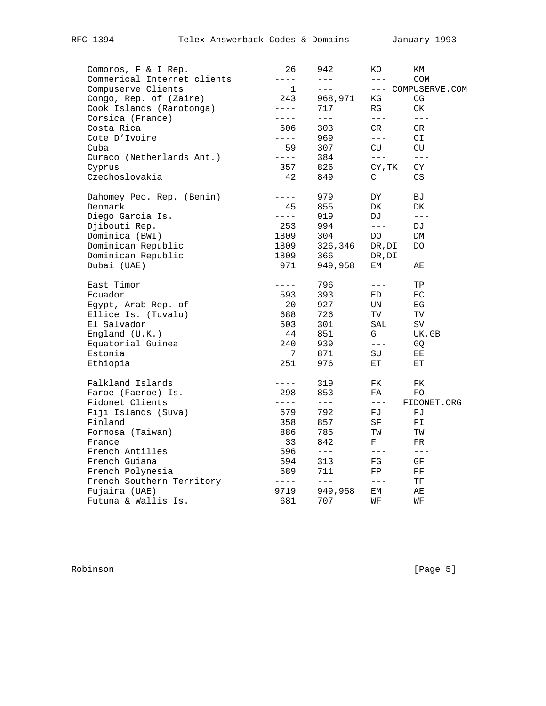| Comoros, F & I Rep.         | 26          | 942     | ΚO            | КM                 |
|-----------------------------|-------------|---------|---------------|--------------------|
| Commerical Internet clients | $---$       | $---$   | $\frac{1}{2}$ | <b>COM</b>         |
| Compuserve Clients          | $\mathbf 1$ | $---$   |               | --- COMPUSERVE.COM |
| Congo, Rep. of (Zaire)      | 243         | 968,971 | ΚG            | CG                 |
| Cook Islands (Rarotonga)    | $---$       | 717     | RG            | CK.                |
| Corsica (France)            | $- - - -$   | $  -$   | $= - -$       | $- - -$            |
| Costa Rica                  | 506         | 303     | CR.           | CR                 |
| Cote D'Ivoire               | $- - - -$   | 969     | $\frac{1}{2}$ | СI                 |
| Cuba                        | 59          | 307     | CU            | CU.                |
| Curaco (Netherlands Ant.)   | $- - - -$   | 384     | $\frac{1}{2}$ | $\frac{1}{2}$      |
| Cyprus                      | 357         | 826     | CY, TK        | СY                 |
| Czechoslovakia              | 42          | 849     | $\rm C$       | CS                 |
| Dahomey Peo. Rep. (Benin)   | $- - - -$   | 979     | DY            | ВJ                 |
| Denmark                     | 45          | 855     | DK            | DK                 |
| Diego Garcia Is.            | $- - - -$   | 919     | DJ            | $---$              |
| Djibouti Rep.               | 253         | 994     | $\frac{1}{2}$ | DJ                 |
| Dominica (BWI)              | 1809        | 304     | DO.           | DM                 |
| Dominican Republic          | 1809        | 326,346 | DR, DI        | DO.                |
| Dominican Republic          | 1809        | 366     | DR, DI        |                    |
| Dubai (UAE)                 | 971         | 949,958 | EМ            | AЕ                 |
| East Timor                  | $- - - -$   | 796     | $- - -$       | ТP                 |
| Ecuador                     | 593         | 393     | ED            | ЕC                 |
| Egypt, Arab Rep. of         | 20          | 927     | UN            | EG                 |
| Ellice Is. (Tuvalu)         | 688         | 726     | TV            | TV                 |
| El Salvador                 | 503         | 301     | SAL           | $\mbox{SV}$        |
| England $(U.K.)$            | 44          | 851     | G             | UK, GB             |
| Equatorial Guinea           | 240         | 939     | $---$         | GQ                 |
| Estonia                     | 7           | 871     | SU            | EE                 |
| Ethiopia                    | 251         | 976     | ЕT            | ЕT                 |
| Falkland Islands            | $---$       | 319     | FK            | FK                 |
| Faroe (Faeroe) Is.          | 298         | 853     | FA            | FO                 |
| Fidonet Clients             | $- - - -$   | $---$   | $---$         | FIDONET.ORG        |
| Fiji Islands (Suva)         | 679         | 792     | FJ            | FJ                 |
| Finland                     | 358         | 857     | SF            | FI                 |
| Formosa (Taiwan)            | 886         | 785     | ΤW            | ТW                 |
| France                      | 33          | 842     | F             | FR.                |
| French Antilles             | 596         | $---$   | $- - -$       | $- - -$            |
| French Guiana               | 594         | 313     | FG            | GF                 |
| French Polynesia            | 689         | 711     | FP            | PF                 |
| French Southern Territory   | $- - - -$   | $- - -$ | $- - -$       | TF.                |
| Fujaira (UAE)               | 9719        | 949,958 | EМ            | АE                 |
| Futuna & Wallis Is.         | 681         | 707     | WF            | WF                 |

Robinson [Page 5]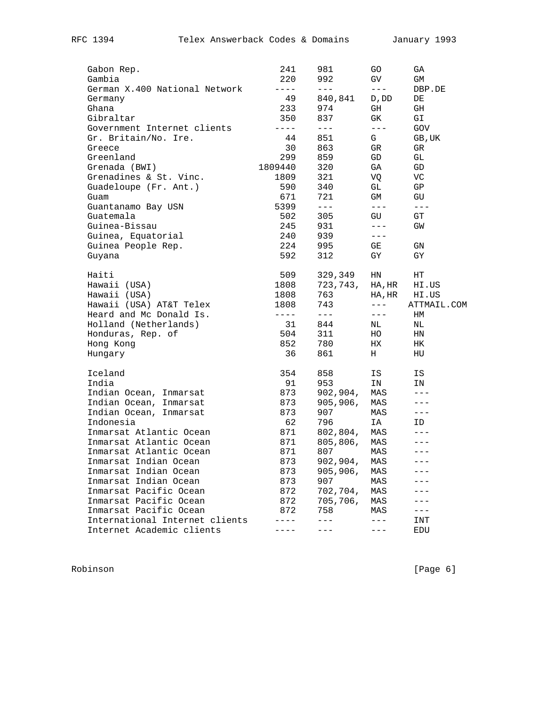| Gabon Rep.                     | 241         | 981      | GO                        | GА          |
|--------------------------------|-------------|----------|---------------------------|-------------|
| Gambia                         | 220         | 992      | GV                        | GM          |
| German X.400 National Network  | $- - - -$   | $---$    | $---$                     | DBP.DE      |
| Germany                        | 49          | 840,841  | D, DD                     | DE          |
| Ghana                          | 233         | 974      | GH                        | GH          |
| Gibraltar                      | 350         | 837      | GK.                       | GI          |
| Government Internet clients    | $- - - - -$ | $---$    | $---$                     | GOV         |
| Gr. Britain/No. Ire.           | 44          | 851      | G                         | GB, UK      |
| Greece                         | 30          | 863      | GR                        | GR          |
| Greenland                      | 299         | 859      | GD                        | GL          |
| Grenada (BWI)                  | 1809440     | 320      | GA                        | GD          |
| Grenadines & St. Vinc.         | 1809        | 321      | VO                        | VC          |
| Guadeloupe (Fr. Ant.)          | 590         | 340      | GL                        | GP          |
| Guam                           | 671         | 721      | GM                        | GU          |
| Guantanamo Bay USN             | 5399        | $---$    | $\frac{1}{2}$             | $---$       |
| Guatemala                      | 502         | 305      | GU                        | GT          |
| Guinea-Bissau                  | 245         | 931      | $---$                     | GW          |
| Guinea, Equatorial             | 240         | 939      | $---$                     |             |
| Guinea People Rep.             | 224         | 995      | GE                        | GN          |
| Guyana                         | 592         | 312      | GY                        | GY          |
| Haiti                          | 509         | 329,349  | ΗN                        | HT          |
| Hawaii (USA)                   | 1808        | 723,743, | $_{\rm HA}$ , $_{\rm HR}$ | HI.US       |
| Hawaii (USA)                   | 1808        | 763      | HA, HR                    | HI.US       |
| Hawaii (USA) AT&T Telex        | 1808        | 743      | $---$                     | ATTMAIL.COM |
| Heard and Mc Donald Is.        | $- - - - -$ | $---$    | $---$                     | HМ          |
| Holland (Netherlands)          | 31          | 844      | NL                        | ΝL          |
| Honduras, Rep. of              | 504         | 311      | HO                        | ΗN          |
| Hong Kong                      | 852         | 780      | НX                        | HК          |
| Hungary                        | 36          | 861      | Н                         | HU          |
| Iceland                        | 354         | 858      | IS                        | IS          |
| India                          | 91          | 953      | ΙN                        | ΙN          |
| Indian Ocean, Inmarsat         | 873         | 902,904, | MAS                       | $---$       |
| Indian Ocean, Inmarsat         | 873         | 905,906, | MAS                       |             |
| Indian Ocean, Inmarsat         | 873         | 907      | MAS                       | $---$       |
| Indonesia                      | 62          | 796      | ΙA                        | ID.         |
| Inmarsat Atlantic Ocean        | 871         | 802,804, | MAS                       |             |
| Inmarsat Atlantic Ocean        | 871         | 805,806, | MAS                       |             |
| Inmarsat Atlantic Ocean        | 871         | 807      | MAS                       |             |
| Inmarsat Indian Ocean          | 873         | 902,904, | MAS                       | $- - -$     |
| Inmarsat Indian Ocean          | 873         | 905,906, | MAS                       |             |
| Inmarsat Indian Ocean          | 873         | 907      | MAS                       |             |
| Inmarsat Pacific Ocean         | 872         | 702,704, | MAS                       |             |
| Inmarsat Pacific Ocean         | 872         | 705,706, | MAS                       |             |
| Inmarsat Pacific Ocean         | 872         | 758      | MAS                       |             |
| International Internet clients |             |          | $---$                     | INT         |
| Internet Academic clients      |             |          | $---$                     | EDU         |

Robinson [Page 6]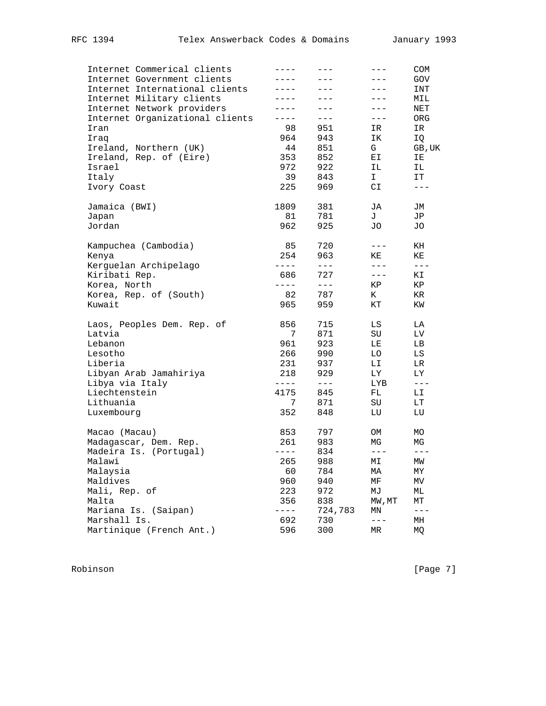| Internet Commerical clients     |           |         | $- - -$                       | COM           |
|---------------------------------|-----------|---------|-------------------------------|---------------|
| Internet Government clients     | $- - -$   |         |                               | GOV           |
| Internet International clients  |           |         | $---$                         | INT           |
| Internet Military clients       |           |         |                               | MIL           |
| Internet Network providers      | $- - -$   | $- - -$ | $- - -$                       | NET           |
| Internet Organizational clients | $---$     | $- - -$ | $---$                         | ORG           |
| Iran                            | 98        | 951     | IR                            | IR            |
| Iraq                            | 964       | 943     | ΙK                            | IQ            |
| Ireland, Northern (UK)          | 44        | 851     | G                             | GB, UK        |
| Ireland, Rep. of (Eire)         | 353       | 852     | ЕI                            | ΙE            |
| Israel                          | 972       | 922     | ΙL                            | ΙL            |
| Italy                           | 39        | 843     | I.                            | IT            |
| Ivory Coast                     | 225       | 969     | СI                            | $---$         |
| Jamaica (BWI)                   | 1809      | 381     | JA                            | JM            |
| Japan                           | 81        | 781     | J                             | JP            |
| Jordan                          | 962       | 925     | JO                            | JO            |
| Kampuchea (Cambodia)            | 85        | 720     | $---$                         | KH            |
| Kenya                           | 254       | 963     | ΚE                            | ΚE            |
| Kerguelan Archipelago           | $---$     | $---$   | $---$                         | $\frac{1}{2}$ |
| Kiribati Rep.                   | 686       | 727     | $---$                         | ΚI            |
| Korea, North                    | $- - - -$ | $---$   | ΚP                            | ΚP            |
| Korea, Rep. of (South)          | 82        | 787     | K                             | ΚR            |
| Kuwait                          | 965       | 959     | КT                            | ΚW            |
| Laos, Peoples Dem. Rep. of      | 856       | 715     | LS                            | LA            |
| Latvia                          | 7         | 871     | SU                            | LV            |
| Lebanon                         | 961       | 923     | LE                            | LВ            |
| Lesotho                         | 266       | 990     | LО                            | LS            |
| Liberia                         | 231       | 937     | LI                            | LR.           |
| Libyan Arab Jamahiriya          | 218       | 929     | LY.                           | LY.           |
| Libya via Italy                 | $---$     | $---$   | LYB                           | $- - -$       |
| Liechtenstein                   | 4175      | 845     | FL.                           | LI            |
| Lithuania                       | 7         | 871     | SU                            | LT            |
| Luxembourg                      | 352       | 848     | LU                            | LU            |
| Macao (Macau)                   | 853       | 797     | ОM                            | MO            |
| Madagascar, Dem. Rep.           | 261       | 983     | ΜG                            | ΜG            |
| Madeira Is. (Portugal)          | $- - - -$ | 834     | $- - -$                       | $- - -$       |
| Malawi                          | 265       | 988     | MΙ                            | МW            |
| Malaysia                        | 60        | 784     | МA                            | MΥ            |
| Maldives                        | 960       | 940     | МF                            | МV            |
| Mali, Rep. of                   | 223       | 972     | МJ                            | МL            |
| Malta                           | 356       | 838     | $\texttt{MW}$ , $\texttt{MT}$ | МT            |
| Mariana Is. (Saipan)            |           | 724,783 | ΜN                            | $---$         |
| Marshall Is.                    | 692       | 730     | $---$                         | МH            |
| Martinique (French Ant.)        | 596       | 300     | MR                            | МQ            |

Robinson [Page 7]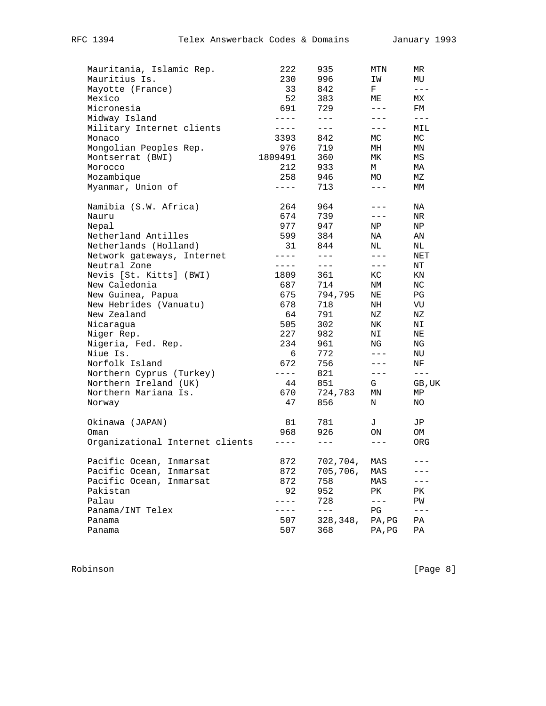| Mauritania, Islamic Rep.        | 222         | 935      | MTN     | ΜR            |
|---------------------------------|-------------|----------|---------|---------------|
| Mauritius Is.                   | 230         | 996      | ΙW      | MU            |
| Mayotte (France)                | 33          | 842      | F       | $\frac{1}{2}$ |
| Mexico                          | 52          | 383      | МE      | МX            |
| Micronesia                      | 691         | 729      | $---$   | FM            |
| Midway Island                   | $- - - -$   | $---$    | $---$   | $- - -$       |
| Military Internet clients       | $- - - -$   | $- - -$  | $---$   | MIL           |
| Monaco                          | 3393        | 842      | МC      | МC            |
| Mongolian Peoples Rep.          | 976         | 719      | МH      | ΜN            |
| Montserrat (BWI)                | 1809491     | 360      | MK      | ΜS            |
| Morocco                         | 212         | 933      | М       | МA            |
| Mozambique                      | 258         | 946      | MO      | MΖ            |
| Myanmar, Union of               | $---$       | 713      | $---$   | МM            |
| Namibia (S.W. Africa)           | 264         | 964      |         | ΝA            |
| Nauru                           | 674         | 739      | $---$   | NR            |
| Nepal                           | 977         | 947      | ΝP      | ΝP            |
| Netherland Antilles             | 599         | 384      | NA      | ΑN            |
| Netherlands (Holland)           | 31          | 844      | NL      | ΝL            |
| Network gateways, Internet      | $---$       | $---$    | $---$   | NET           |
| Neutral Zone                    | $-- ---$    | $---$    | $---$   | ΝT            |
| Nevis [St. Kitts] (BWI)         | 1809        | 361      | КC      | ΚN            |
| New Caledonia                   | 687         | 714      | NΜ      | ΝC            |
| New Guinea, Papua               | 675         | 794,795  | ΝE      | PG            |
| New Hebrides (Vanuatu)          | 678         | 718      | NH      | VU            |
| New Zealand                     | 64          | 791      | ΝZ      | ΝZ            |
| Nicaraqua                       | 505         | 302      | NK.     | NΙ            |
| Niger Rep.                      | 227         | 982      | ΝI      | ΝE            |
| Nigeria, Fed. Rep.              | 234         | 961      | ΝG      | ΝG            |
| Niue Is.                        | 6           | 772      | $---$   | NU            |
| Norfolk Island                  | 672         | 756      | $---$   | ΝF            |
| Northern Cyprus (Turkey)        | $- - - - -$ | 821      | $---$   | $---$         |
| Northern Ireland (UK)           | 44          | 851      | G       | GB, UK        |
| Northern Mariana Is.            | 670         | 724,783  | ΜN      | ΜP            |
| Norway                          | 47          | 856      | Ν       | ΝO            |
| Okinawa (JAPAN)                 | 81          | 781      | J       | JP            |
| Oman                            | 968         | 926      | ON      | OM            |
| Organizational Internet clients | $---$       | $---$    | $- - -$ | ORG           |
| Pacific Ocean,<br>Inmarsat      | 872         | 702,704, | MAS     | $= -$         |
| Pacific Ocean, Inmarsat         | 872         | 705,706, | MAS     |               |
| Pacific Ocean, Inmarsat         | 872         | 758      | MAS     |               |
| Pakistan                        | 92          | 952      | PК      | PΚ            |
| Palau                           | $- - - -$   | 728      | $---$   | ΡW            |
| Panama/INT Telex                | $---$       | $---$    | PG      | $---$         |
| Panama                          | 507         | 328,348, | PA, PG  | PA            |
| Panama                          | 507         | 368      | PA, PG  | ΡA            |
|                                 |             |          |         |               |

Robinson [Page 8]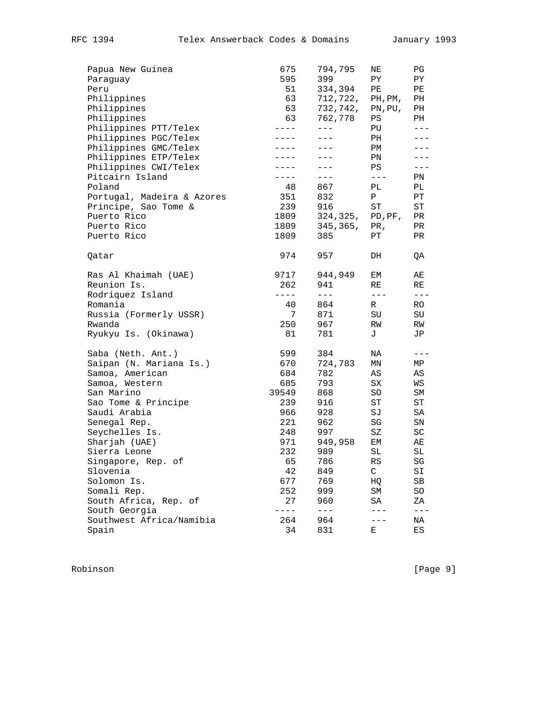| Papua New Guinea           | 675         | 794,795   | ΝE      | PG                    |
|----------------------------|-------------|-----------|---------|-----------------------|
| Paraguay                   | 595         | 399       | PY.     | ΡY                    |
| Peru                       | 51          | 334,394   | PE      | PЕ                    |
| Philippines                | 63          | 712,722,  | PH, PM, | PН                    |
| Philippines                | 63          | 732,742,  | PN, PU, | PH                    |
| Philippines                | 63          | 762,778   | PS      | PH                    |
| Philippines PTT/Telex      | $- - - -$   | $---$     | PU      | $---$                 |
| Philippines PGC/Telex      | $- - - - -$ | $- - -$   | PH      | $---$                 |
| Philippines GMC/Telex      | $- - - - -$ | $---$     | РM      |                       |
| Philippines ETP/Telex      | $- - - -$   | $---$     | PN      |                       |
| Philippines CWI/Telex      | $- - - -$   | $---$     | PS      | $---$                 |
| Pitcairn Island            | $- - - -$   | $---$     | $- - -$ | PN                    |
| Poland                     | 48          | 867       | PL      | PL                    |
| Portugal, Madeira & Azores | 351         | 832       | Ρ       | РT                    |
| Principe, Sao Tome &       | 239         | 916       | ST      | ST                    |
| Puerto Rico                | 1809        | 324,325,  | PD, PF, | PR                    |
| Puerto Rico                | 1809        | 345, 365, | PR,     | PR                    |
| Puerto Rico                | 1809        | 385       | PТ      | PR.                   |
|                            |             |           |         |                       |
| Qatar                      | 974         | 957       | DH      | QA                    |
| Ras Al Khaimah (UAE)       | 9717        | 944,949   | ЕM      | AЕ                    |
| Reunion Is.                | 262         | 941       | RE      | RE                    |
| Rodriquez Island           | $- - - -$   | $- - -$   | $- - -$ | $- - -$               |
| Romania                    | 40          | 864       | R       | RO.                   |
| Russia (Formerly USSR)     | 7           | 871       | SU      | SU                    |
| Rwanda                     | 250         | 967       | RW      | RW                    |
| Ryukyu Is. (Okinawa)       | 81          | 781       | J       | JP                    |
| Saba (Neth. Ant.)          | 599         | 384       | NA      | $---$                 |
| Saipan (N. Mariana Is.)    | 670         | 724,783   | ΜN      | MP                    |
| Samoa, American            | 684         | 782       | AS      | AS                    |
| Samoa, Western             | 685         | 793       | SX      | WS                    |
| San Marino                 | 39549       | 868       | SO      | SΜ                    |
| Sao Tome & Principe        | 239         | 916       | ST      | ST                    |
| Saudi Arabia               | 966         | 928       | SJ      | SA                    |
| Senegal Rep.               | 221         | 962       | SG      | SN                    |
| Seychelles Is.             | 248         | 997       | SZ      | SC                    |
| Sharjah (UAE)              | 971         | 949,958   | EМ      | AЕ                    |
| Sierra Leone               | 232         | 989       | SL      | SL                    |
| Singapore, Rep. of         | 65          | 786       | RS      | $\mathbb S \mathbb G$ |
| Slovenia                   | 42          | 849       | C       | SI                    |
| Solomon Is.                | 677         | 769       | HQ      | SВ                    |
| Somali Rep.                | 252         | 999       | $SM$    | SO                    |
| South Africa, Rep. of      | 27          | 960       | SA      | ΖA                    |
| South Georgia              | $- - - -$   | $---$     | $---$   | $- - -$               |
| Southwest Africa/Namibia   | 264         | 964       |         | ΝA                    |
| Spain                      | 34          | 831       | E       | ES                    |
|                            |             |           |         |                       |

Robinson [Page 9]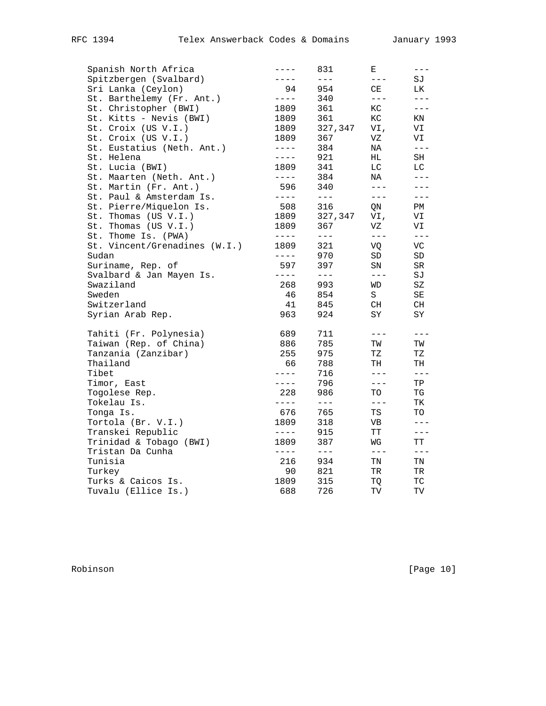| Spanish North Africa          | $---$       | 831           | Ε                   | $---$      |
|-------------------------------|-------------|---------------|---------------------|------------|
| Spitzbergen (Svalbard)        | $- - - -$   | $- - -$       | $\frac{1}{2}$       | SJ         |
| Sri Lanka (Ceylon)            | 94          | 954           | CE                  | LK         |
| St. Barthelemy (Fr. Ant.)     | $- - - -$   | 340           | $- - -$             | $---$      |
| St. Christopher (BWI)         | 1809        | 361           | KC                  | $---$      |
| St. Kitts - Nevis (BWI)       | 1809        | 361           | ${\rm KC}$          | ΚN         |
| St. Croix (US V.I.)           | 1809        | 327,347       | VI,                 | VI         |
| St. Croix (US V.I.)           | 1809        | 367           | VZ                  | VI         |
| St. Eustatius (Neth. Ant.)    | $- - - - -$ | 384           | NA                  | $---$      |
| St. Helena                    | $---$       | 921           | HL                  | SH         |
| St. Lucia (BWI)               | 1809        | 341           | LC                  | LC         |
| St. Maarten (Neth. Ant.)      | $- - - -$   | 384           | NA                  | $- - -$    |
| St. Martin (Fr. Ant.)         | 596         | 340           | $---$               |            |
| St. Paul & Amsterdam Is.      | $- - - -$   | $- - -$       | $---$               | $---$      |
| St. Pierre/Miquelon Is.       | 508         | 316           | QN                  | PM         |
| St. Thomas (US V.I.)          | 1809        | 327,347       | VI,                 | VI         |
| St. Thomas (US V.I.)          | 1809        | 367           | VZ                  | VI         |
| St. Thome Is. (PWA)           | $- - - -$   | $\frac{1}{2}$ | $\frac{1}{2}$       | $---$      |
| St. Vincent/Grenadines (W.I.) | 1809        | 321           | VO                  | VC         |
| Sudan                         | $- - - -$   | 970           | ${\tt SD}$          | ${\tt SD}$ |
| Suriname, Rep. of             | 597         | 397           | SN                  | SR         |
| Svalbard & Jan Mayen Is.      | $- - - -$   | $\frac{1}{2}$ | $ -$                | SJ         |
| Swaziland                     | 268         | 993           | WD                  | SZ         |
| Sweden                        | 46          | 854           | S                   | SΕ         |
| Switzerland                   | 41          | 845           | CH                  | CH         |
| Syrian Arab Rep.              | 963         | 924           | SY                  | SY         |
| Tahiti (Fr. Polynesia)        | 689         | 711           | $---$               |            |
| Taiwan (Rep. of China)        | 886         | 785           | ТW                  | TW         |
| Tanzania (Zanzibar)           | 255         | 975           | ΤZ                  | ΤZ         |
| Thailand                      | 66          | 788           | TH                  | TH         |
| Tibet                         | $- - - -$   | 716           | $---$               | $- - -$    |
| Timor, East                   | $- - - -$   | 796           | $---$               | TP         |
| Togolese Rep.                 | 228         | 986           | TO                  | TG         |
| Tokelau Is.                   | $- - - -$   | $\frac{1}{2}$ | $---$               | TК         |
| Tonga Is.                     | 676         | 765           | TS                  | TO         |
| Tortola (Br. V.I.)            | 1809        | 318           | VB                  | $---$      |
| Transkei Republic             | $- - - - -$ | 915           | ТT                  | $---$      |
| Trinidad & Tobago (BWI)       | 1809        | 387           | WG                  | ТT         |
| Tristan Da Cunha              | $- - - -$   | $---$         | $---$               | $---$      |
| Tunisia                       | 216         | 934           | TN                  | TN         |
| Turkey                        | 90          | 821           | TR                  | TR         |
| Turks & Caicos Is.            | 1809        | 315           | TQ                  | ТC         |
| Tuvalu (Ellice Is.)           | 688         | 726           | $\operatorname{TV}$ | TV         |
|                               |             |               |                     |            |

Robinson [Page 10]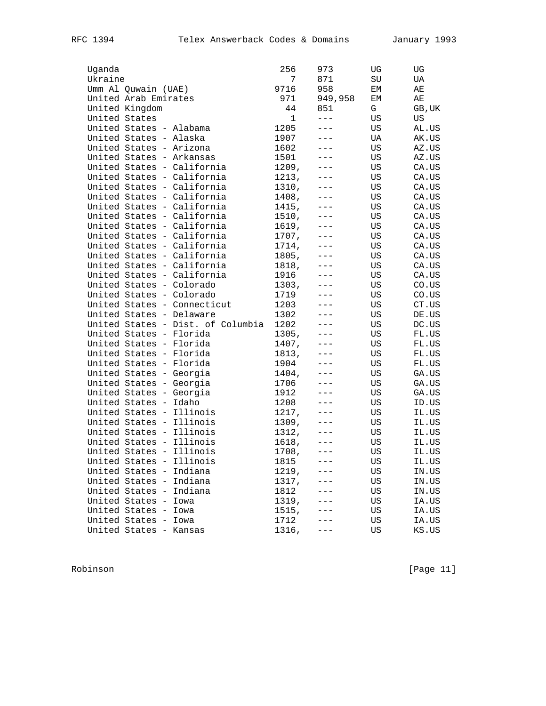| Uganda                   |                                   | 256   | 973     | UG | UG     |
|--------------------------|-----------------------------------|-------|---------|----|--------|
| Ukraine                  |                                   | 7     | 871     | SU | UA     |
| Umm Al Quwain (UAE)      |                                   | 9716  | 958     | ЕM | AЕ     |
| United Arab Emirates     |                                   | 971   | 949,958 | ЕM | AЕ     |
| United Kingdom           |                                   | 44    | 851     | G  | GB, UK |
| United States            |                                   | 1     | $- - -$ | US | US     |
| United States - Alabama  |                                   | 1205  | $ -$    | US | AL.US  |
| United States - Alaska   |                                   | 1907  | $---$   | UA | AK.US  |
| United States - Arizona  |                                   | 1602  | $- - -$ | US | AZ.US  |
| United States - Arkansas |                                   | 1501  |         | US | AZ.US  |
|                          | United States - California        | 1209, |         | US | CA.US  |
|                          | United States - California        | 1213, |         | US | CA.US  |
|                          | United States - California        | 1310, |         | US | CA.US  |
|                          | United States - California        | 1408, |         | US | CA.US  |
|                          | United States - California        | 1415, |         | US | CA.US  |
|                          | United States - California        | 1510, |         | US | CA.US  |
|                          | United States - California        | 1619, |         | US | CA.US  |
|                          | United States - California        | 1707, |         | US | CA.US  |
|                          | United States - California        | 1714, |         | US | CA.US  |
|                          | United States - California        | 1805, |         | US | CA.US  |
|                          | United States - California        | 1818, |         | US | CA.US  |
|                          | United States - California        | 1916  |         | US |        |
| United States - Colorado |                                   |       |         | US | CA.US  |
|                          |                                   | 1303, |         |    | CO.US  |
| United States - Colorado |                                   | 1719  |         | US | CO. US |
|                          | United States - Connecticut       | 1203  | $---$   | US | CT.US  |
| United States - Delaware |                                   | 1302  |         | US | DE.US  |
|                          | United States - Dist. of Columbia | 1202  | $---$   | US | DC.US  |
| United States - Florida  |                                   | 1305, |         | US | FL.US  |
| United States - Florida  |                                   | 1407, |         | US | FL.US  |
| United States - Florida  |                                   | 1813, |         | US | FL.US  |
| United States - Florida  |                                   | 1904  |         | US | FL.US  |
| United States - Georgia  |                                   | 1404, |         | US | GA.US  |
| United States - Georgia  |                                   | 1706  | $---$   | US | GA.US  |
| United States - Georgia  |                                   | 1912  |         | US | GA.US  |
| United States - Idaho    |                                   | 1208  |         | US | ID.US  |
| United States - Illinois |                                   | 1217, |         | US | IL.US  |
| United States - Illinois |                                   | 1309, |         | US | IL.US  |
| United States - Illinois |                                   | 1312, |         | US | IL.US  |
| United States - Illinois |                                   | 1618, |         | US | IL.US  |
| United States - Illinois |                                   | 1708, |         | US | IL.US  |
| United States - Illinois |                                   | 1815  |         | US | IL.US  |
| United States - Indiana  |                                   | 1219, |         | US | IN.US  |
| United States - Indiana  |                                   | 1317, |         | US | IN.US  |
| United States - Indiana  |                                   | 1812  |         | US | IN.US  |
| United States - Iowa     |                                   | 1319, |         | US | IA.US  |
| United States - Iowa     |                                   | 1515, |         | US | IA.US  |
| United States - Iowa     |                                   | 1712  |         | US | IA.US  |
| United States - Kansas   |                                   | 1316, |         | US | KS.US  |
|                          |                                   |       |         |    |        |

Robinson [Page 11]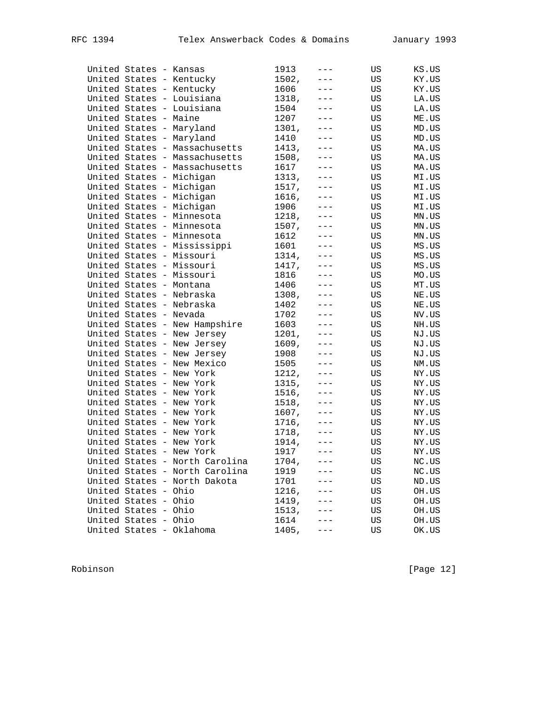|  | United States - Kansas |                                | 1913  | $---$               | US | KS.US |
|--|------------------------|--------------------------------|-------|---------------------|----|-------|
|  |                        | United States - Kentucky       | 1502, | $---$               | US | KY.US |
|  |                        | United States - Kentucky       | 1606  | $- - -$             | US | KY.US |
|  |                        | United States - Louisiana      | 1318, | $---$               | US | LA.US |
|  |                        | United States - Louisiana      | 1504  |                     | US | LA.US |
|  | United States - Maine  |                                | 1207  | $---$               | US | ME.US |
|  |                        | United States - Maryland       | 1301, | $---$               | US | MD.US |
|  |                        | United States - Maryland       | 1410  | $- - -$             | US | MD.US |
|  |                        | United States - Massachusetts  | 1413, | $\qquad \qquad - -$ | US | MA.US |
|  |                        | United States - Massachusetts  | 1508, | $---$               | US | MA.US |
|  |                        | United States - Massachusetts  | 1617  |                     | US | MA.US |
|  |                        | United States - Michigan       | 1313, | $---$               | US | MI.US |
|  |                        | United States - Michigan       | 1517, | $- - -$             | US | MI.US |
|  |                        | United States - Michigan       | 1616, | $---$               | US | MI.US |
|  |                        | United States - Michigan       | 1906  | $- - -$             | US | MI.US |
|  |                        | United States - Minnesota      | 1218, | $---$               | US | MN.US |
|  |                        | United States - Minnesota      | 1507, |                     | US | MN.US |
|  |                        | United States - Minnesota      | 1612  | $---$               | US | MN.US |
|  |                        | United States - Mississippi    | 1601  | $---$               | US | MS.US |
|  |                        | United States - Missouri       | 1314, | $- - -$             | US | MS.US |
|  |                        | United States - Missouri       | 1417, | $\qquad \qquad - -$ | US | MS.US |
|  |                        | United States - Missouri       | 1816  | $---$               | US | MO.US |
|  |                        | United States - Montana        | 1406  |                     | US | MT.US |
|  |                        | United States - Nebraska       | 1308, | $---$               | US | NE.US |
|  |                        | United States - Nebraska       | 1402  | $---$               | US | NE.US |
|  | United States - Nevada |                                | 1702  | $---$               | US | NV.US |
|  |                        | United States - New Hampshire  | 1603  | $\qquad \qquad - -$ | US | NH.US |
|  |                        | United States - New Jersey     | 1201, | $- - -$             | US | NJ.US |
|  |                        | United States - New Jersey     | 1609, |                     | US | NJ.US |
|  |                        | United States - New Jersey     | 1908  | $---$               | US | NJ.US |
|  |                        | United States - New Mexico     | 1505  | $---$               | US | NM.US |
|  |                        | United States - New York       | 1212, | $- - -$             | US | NY.US |
|  |                        | United States - New York       | 1315, | $\qquad \qquad - -$ | US | NY.US |
|  |                        | United States - New York       | 1516, | $---$               | US | NY.US |
|  |                        | United States - New York       | 1518, |                     | US | NY.US |
|  |                        | United States - New York       | 1607, | $---$               | US | NY.US |
|  |                        | United States - New York       | 1716, | $---$               | US | NY.US |
|  |                        | United States - New York       | 1718, | $---$               | US | NY.US |
|  |                        | United States - New York       | 1914, | $\qquad \qquad - -$ | US | NY.US |
|  |                        | United States - New York       | 1917  | $- - -$             | US | NY.US |
|  |                        | United States - North Carolina | 1704, | $- - -$             | US | NC.US |
|  |                        | United States - North Carolina | 1919  |                     | US | NC.US |
|  |                        | United States - North Dakota   | 1701  |                     | US | ND.US |
|  | United States - Ohio   |                                | 1216, |                     | US | OH.US |
|  | United States - Ohio   |                                | 1419, |                     | US | OH.US |
|  | United States - Ohio   |                                | 1513, |                     | US | OH.US |
|  | United States - Ohio   |                                | 1614  |                     | US | OH.US |
|  |                        | United States - Oklahoma       | 1405, |                     | US | OK.US |
|  |                        |                                |       |                     |    |       |

Robinson [Page 12]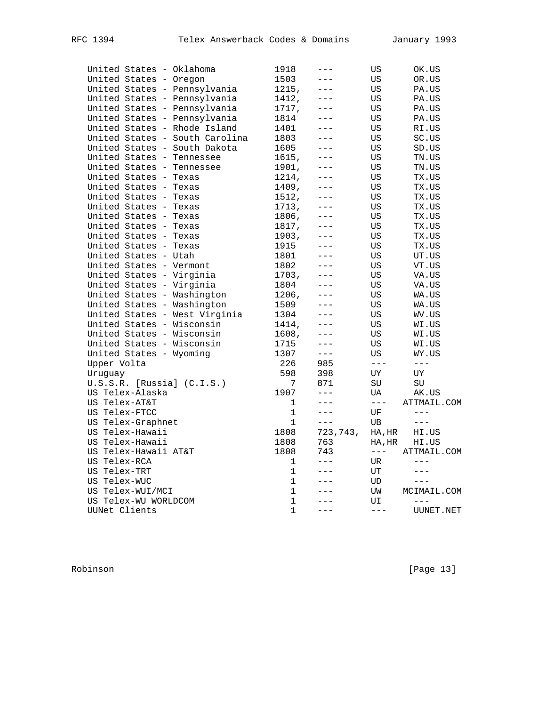|              |                        | United States - Oklahoma       | 1918         | $- - -$  | US            | OK.US                |
|--------------|------------------------|--------------------------------|--------------|----------|---------------|----------------------|
|              | United States - Oregon |                                | 1503         | ---      | US            | OR.US                |
|              |                        | United States - Pennsylvania   | 1215,        | $- - -$  | US            | PA.US                |
|              |                        | United States - Pennsylvania   | 1412,        | $- - -$  | US            | PA.US                |
|              |                        | United States - Pennsylvania   | 1717,        | $- - -$  | US            | PA.US                |
|              |                        | United States - Pennsylvania   | 1814         |          | US            | PA.US                |
|              |                        | United States - Rhode Island   | 1401         | $- - -$  | US            | RI.US                |
|              |                        | United States - South Carolina | 1803         | $- - -$  | US            | SC.US                |
|              |                        | United States - South Dakota   | 1605         | $- - -$  | US            | SD.US                |
|              |                        | United States - Tennessee      | 1615,        | $---$    | US            | TN.US                |
|              |                        | United States - Tennessee      | 1901,        | $- - -$  | US            | TN.US                |
|              | United States - Texas  |                                | 1214,        |          | US            | TX.US                |
|              | United States - Texas  |                                | 1409,        | $- - -$  | US            | TX.US                |
|              | United States - Texas  |                                | 1512,        | ---      | US            | TX.US                |
|              | United States - Texas  |                                | 1713,        | $---$    | US            | TX.US                |
|              | United States - Texas  |                                | 1806,        |          | US            | TX.US                |
|              | United States - Texas  |                                | 1817,        | $- - -$  | US            | TX.US                |
|              | United States - Texas  |                                | 1903,        | $---$    | US            | TX.US                |
|              | United States - Texas  |                                | 1915         | $- - -$  | US            | TX.US                |
|              | United States - Utah   |                                | 1801         | $---$    | US            | UT.US                |
|              |                        | United States - Vermont        | 1802         | $- - -$  | US            | VT.US                |
|              |                        | United States - Virginia       | 1703,        | $---$    | US            | VA.US                |
|              |                        | United States - Virginia       | 1804         | $- - -$  | US            | VA.US                |
|              |                        | United States - Washington     | 1206,        |          | US            | WA.US                |
|              |                        | United States - Washington     | 1509         | $- - -$  | US            | WA.US                |
|              |                        | United States - West Virginia  | 1304         | $---$    | US            | WV.US                |
|              |                        | United States - Wisconsin      | 1414,        | $- - -$  | US            | WI.US                |
|              |                        | United States - Wisconsin      | 1608,        | $---$    | US            | WI.US                |
|              |                        | United States - Wisconsin      | 1715         | $---$    | US            | WI.US                |
|              |                        | United States - Wyoming        | 1307         | $---$    | US            |                      |
| Upper Volta  |                        |                                | 226          | 985      | $---$         | WY.US<br>$---$       |
| Uruquay      |                        |                                | 598          | 398      | UΥ            | UΥ                   |
|              |                        |                                | 7            | 871      | SU            |                      |
|              | US Telex-Alaska        | $U.S.S.R.$ [Russia] $(C.I.S.)$ | 1907         | $---$    | UA            | SU                   |
|              | US Telex-AT&T          |                                | 1            | $---$    | $\frac{1}{2}$ | AK.US<br>ATTMAIL.COM |
|              |                        |                                | $\mathbf{1}$ | $---$    |               | $---$                |
|              | US Telex-FTCC          |                                |              | $---$    | UF            |                      |
|              | US Telex-Graphnet      |                                | 1            |          | UB            | $\qquad \qquad - -$  |
|              | US Telex-Hawaii        |                                | 1808         | 723,743, | HA, HR        | HI.US                |
|              | US Telex-Hawaii        |                                | 1808         | 763      | HA, HR        | HI.US                |
|              | US Telex-Hawaii AT&T   |                                | 1808         | 743      | $- - - \,$    | ATTMAIL.COM          |
| US Telex-RCA |                        |                                | 1            | $---$    | UR            | $---$                |
| US Telex-TRT |                        |                                | $\mathbf 1$  | $---$    | UT            | $---$                |
| US Telex-WUC |                        |                                | 1            | $- - -$  | UD            | $---$                |
|              | US Telex-WUI/MCI       |                                | $\mathbf{1}$ | $- - -$  | UW            | MCIMAIL.COM          |
|              | US Telex-WU WORLDCOM   |                                | $\mathbf 1$  | $- - -$  | UI            | $---$                |
|              | UUNet Clients          |                                | $\mathbf{1}$ | $- - -$  | $---$         | UUNET.NET            |

Robinson [Page 13]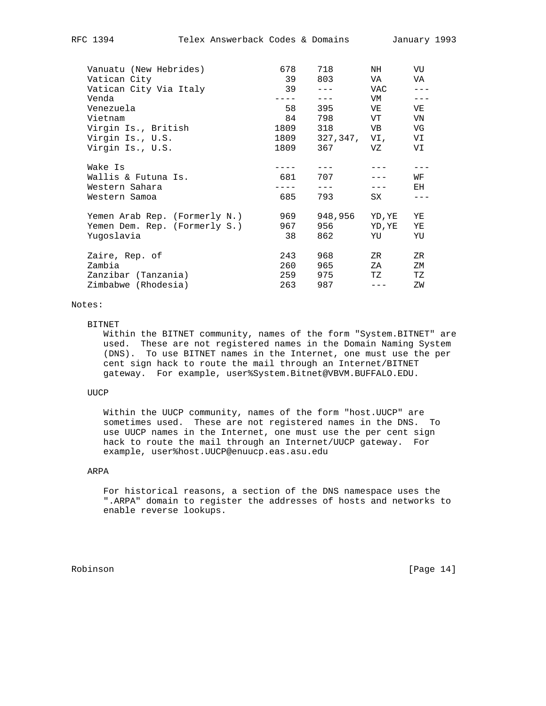| Vanuatu (New Hebrides)        | 678   | 718          | NH     | VU  |
|-------------------------------|-------|--------------|--------|-----|
| Vatican City                  | 39    | 803          | VA     | VA  |
| Vatican City Via Italy        | 39    |              | VAC    |     |
| Venda                         |       | $- - -$      | VM     |     |
| Venezuela                     | 58    | 395          | VE     | VE  |
| Vietnam                       | 84    | 798          | VT     | VN  |
| Virgin Is., British           | 1809  | 318          | VB     | VG  |
| Virgin Is., U.S.              | 1809  | 327,347, VI, |        | VI  |
| Virgin Is., U.S.              | 1809  | 367          | VZ     | VI  |
| Wake Is                       |       |              |        |     |
| Wallis & Futuna Is.           | 681   | 707          |        | WF  |
| Western Sahara                |       |              |        | EH. |
| Western Samoa                 | 685   | 793          | SX     |     |
| Yemen Arab Rep. (Formerly N.) | 969   | 948,956      | YD, YE | ΥE  |
| Yemen Dem. Rep. (Formerly S.) | 967 — | 956          | YD, YE | ΥE  |
| Yuqoslavia                    | 38    | 862          | YU     | YU  |
| Zaire, Rep. of                | 243   | 968          | ZR     | ZR  |
| Zambia                        | 260   | 965          | ΖA     | ZΜ  |
| Zanzibar (Tanzania)           | 259   | 975          | TZ     | ТZ  |
| Zimbabwe (Rhodesia)           | 263   | 987          |        | ΖW  |
|                               |       |              |        |     |

## Notes:

#### BITNET

 Within the BITNET community, names of the form "System.BITNET" are used. These are not registered names in the Domain Naming System (DNS). To use BITNET names in the Internet, one must use the per cent sign hack to route the mail through an Internet/BITNET gateway. For example, user%System.Bitnet@VBVM.BUFFALO.EDU.

### UUCP

 Within the UUCP community, names of the form "host.UUCP" are sometimes used. These are not registered names in the DNS. To use UUCP names in the Internet, one must use the per cent sign hack to route the mail through an Internet/UUCP gateway. For example, user%host.UUCP@enuucp.eas.asu.edu

### ARPA

 For historical reasons, a section of the DNS namespace uses the ".ARPA" domain to register the addresses of hosts and networks to enable reverse lookups.

Robinson [Page 14]